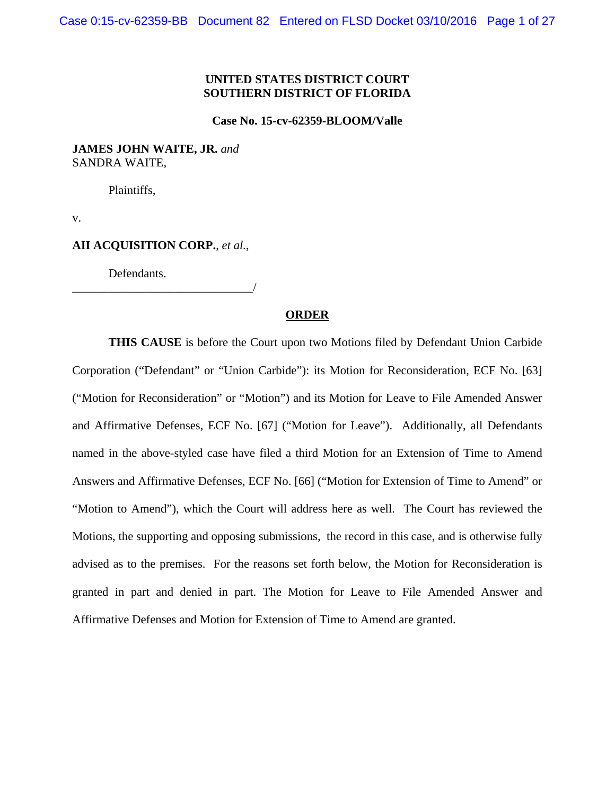# **UNITED STATES DISTRICT COURT SOUTHERN DISTRICT OF FLORIDA**

#### **Case No. 15-cv-62359-BLOOM/Valle**

# **JAMES JOHN WAITE, JR.** *and* SANDRA WAITE,

Plaintiffs,

v.

# **AII ACQUISITION CORP.**, *et al.*,

\_\_\_\_\_\_\_\_\_\_\_\_\_\_\_\_\_\_\_\_\_\_\_\_\_\_\_\_\_\_/

Defendants.

# **ORDER**

**THIS CAUSE** is before the Court upon two Motions filed by Defendant Union Carbide Corporation ("Defendant" or "Union Carbide"): its Motion for Reconsideration, ECF No. [63] ("Motion for Reconsideration" or "Motion") and its Motion for Leave to File Amended Answer and Affirmative Defenses, ECF No. [67] ("Motion for Leave"). Additionally, all Defendants named in the above-styled case have filed a third Motion for an Extension of Time to Amend Answers and Affirmative Defenses, ECF No. [66] ("Motion for Extension of Time to Amend" or "Motion to Amend"), which the Court will address here as well. The Court has reviewed the Motions, the supporting and opposing submissions, the record in this case, and is otherwise fully advised as to the premises. For the reasons set forth below, the Motion for Reconsideration is granted in part and denied in part. The Motion for Leave to File Amended Answer and Affirmative Defenses and Motion for Extension of Time to Amend are granted.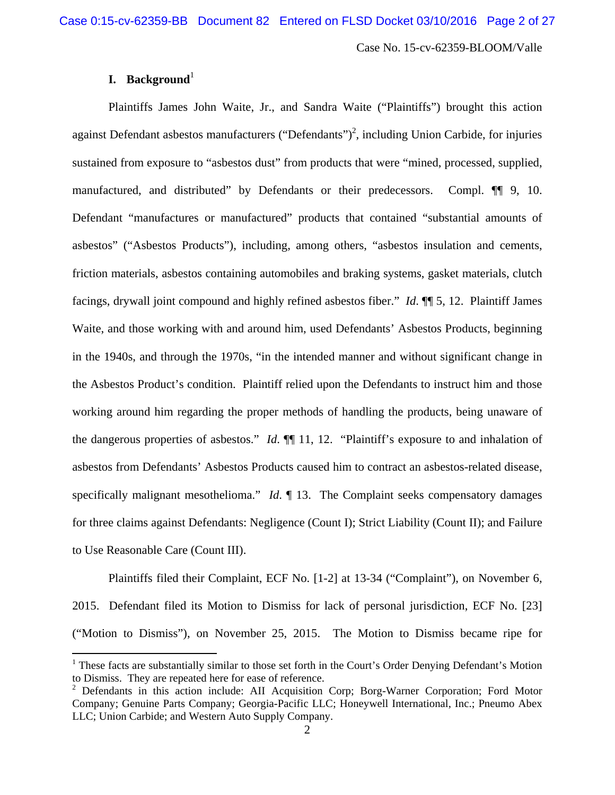# **I. Background**<sup>1</sup>

 $\overline{a}$ 

Plaintiffs James John Waite, Jr., and Sandra Waite ("Plaintiffs") brought this action against Defendant asbestos manufacturers ("Defendants")<sup>2</sup>, including Union Carbide, for injuries sustained from exposure to "asbestos dust" from products that were "mined, processed, supplied, manufactured, and distributed" by Defendants or their predecessors. Compl. ¶¶ 9, 10. Defendant "manufactures or manufactured" products that contained "substantial amounts of asbestos" ("Asbestos Products"), including, among others, "asbestos insulation and cements, friction materials, asbestos containing automobiles and braking systems, gasket materials, clutch facings, drywall joint compound and highly refined asbestos fiber." *Id*. ¶¶ 5, 12. Plaintiff James Waite, and those working with and around him, used Defendants' Asbestos Products, beginning in the 1940s, and through the 1970s, "in the intended manner and without significant change in the Asbestos Product's condition. Plaintiff relied upon the Defendants to instruct him and those working around him regarding the proper methods of handling the products, being unaware of the dangerous properties of asbestos." *Id*. ¶¶ 11, 12. "Plaintiff's exposure to and inhalation of asbestos from Defendants' Asbestos Products caused him to contract an asbestos-related disease, specifically malignant mesothelioma." *Id*. 13. The Complaint seeks compensatory damages for three claims against Defendants: Negligence (Count I); Strict Liability (Count II); and Failure to Use Reasonable Care (Count III).

Plaintiffs filed their Complaint, ECF No. [1-2] at 13-34 ("Complaint"), on November 6, 2015. Defendant filed its Motion to Dismiss for lack of personal jurisdiction, ECF No. [23] ("Motion to Dismiss"), on November 25, 2015. The Motion to Dismiss became ripe for

<sup>&</sup>lt;sup>1</sup> These facts are substantially similar to those set forth in the Court's Order Denying Defendant's Motion to Dismiss. They are repeated here for ease of reference.

<sup>&</sup>lt;sup>2</sup> Defendants in this action include: AII Acquisition Corp; Borg-Warner Corporation; Ford Motor Company; Genuine Parts Company; Georgia-Pacific LLC; Honeywell International, Inc.; Pneumo Abex LLC; Union Carbide; and Western Auto Supply Company.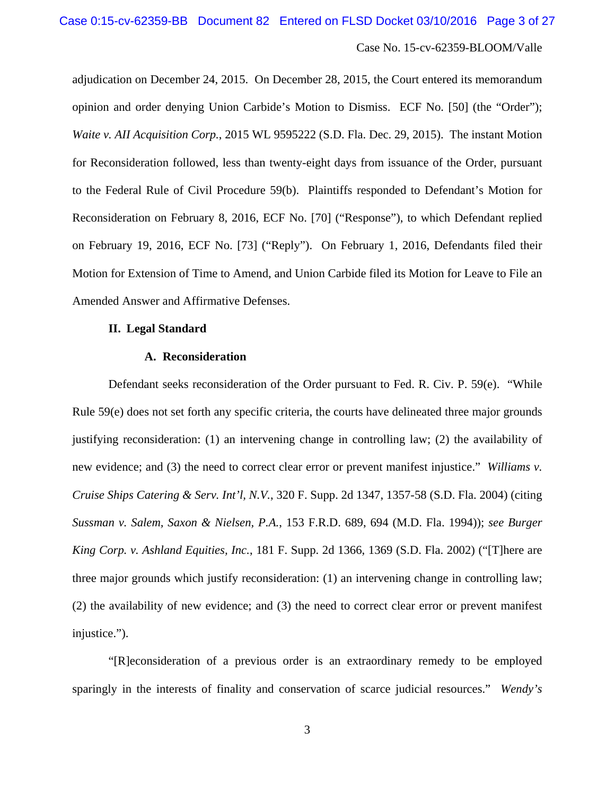adjudication on December 24, 2015. On December 28, 2015, the Court entered its memorandum opinion and order denying Union Carbide's Motion to Dismiss. ECF No. [50] (the "Order"); *Waite v. AII Acquisition Corp.*, 2015 WL 9595222 (S.D. Fla. Dec. 29, 2015). The instant Motion for Reconsideration followed, less than twenty-eight days from issuance of the Order, pursuant to the Federal Rule of Civil Procedure 59(b). Plaintiffs responded to Defendant's Motion for Reconsideration on February 8, 2016, ECF No. [70] ("Response"), to which Defendant replied on February 19, 2016, ECF No. [73] ("Reply"). On February 1, 2016, Defendants filed their Motion for Extension of Time to Amend, and Union Carbide filed its Motion for Leave to File an Amended Answer and Affirmative Defenses.

### **II. Legal Standard**

# **A. Reconsideration**

Defendant seeks reconsideration of the Order pursuant to Fed. R. Civ. P. 59(e). "While Rule 59(e) does not set forth any specific criteria, the courts have delineated three major grounds justifying reconsideration: (1) an intervening change in controlling law; (2) the availability of new evidence; and (3) the need to correct clear error or prevent manifest injustice." *Williams v. Cruise Ships Catering & Serv. Int'l, N.V.*, 320 F. Supp. 2d 1347, 1357-58 (S.D. Fla. 2004) (citing *Sussman v. Salem, Saxon & Nielsen, P.A.*, 153 F.R.D. 689, 694 (M.D. Fla. 1994)); *see Burger King Corp. v. Ashland Equities, Inc.*, 181 F. Supp. 2d 1366, 1369 (S.D. Fla. 2002) ("[T]here are three major grounds which justify reconsideration: (1) an intervening change in controlling law; (2) the availability of new evidence; and (3) the need to correct clear error or prevent manifest injustice.").

"[R]econsideration of a previous order is an extraordinary remedy to be employed sparingly in the interests of finality and conservation of scarce judicial resources." *Wendy's*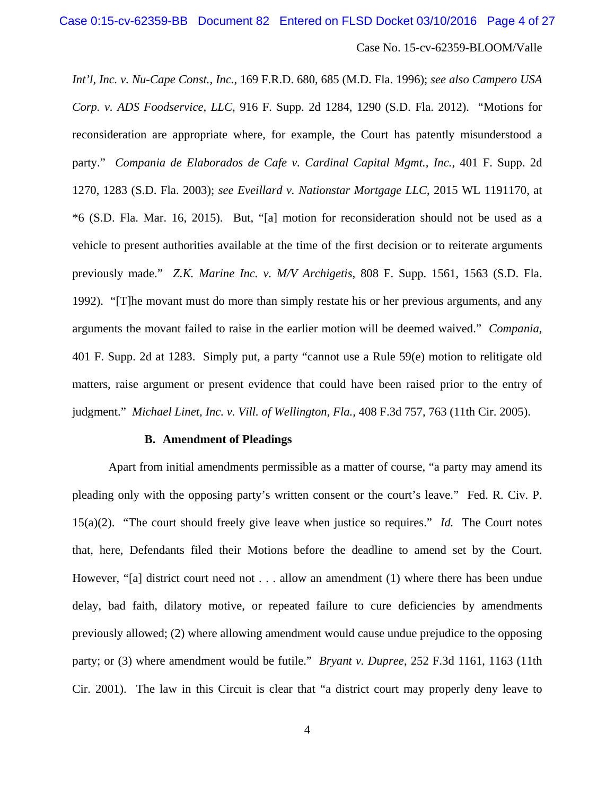*Int'l, Inc. v. Nu-Cape Const., Inc.*, 169 F.R.D. 680, 685 (M.D. Fla. 1996); *see also Campero USA Corp. v. ADS Foodservice, LLC*, 916 F. Supp. 2d 1284, 1290 (S.D. Fla. 2012). "Motions for reconsideration are appropriate where, for example, the Court has patently misunderstood a party." *Compania de Elaborados de Cafe v. Cardinal Capital Mgmt., Inc.*, 401 F. Supp. 2d 1270, 1283 (S.D. Fla. 2003); *see Eveillard v. Nationstar Mortgage LLC*, 2015 WL 1191170, at \*6 (S.D. Fla. Mar. 16, 2015). But, "[a] motion for reconsideration should not be used as a vehicle to present authorities available at the time of the first decision or to reiterate arguments previously made." *Z.K. Marine Inc. v. M/V Archigetis*, 808 F. Supp. 1561, 1563 (S.D. Fla. 1992). "[T]he movant must do more than simply restate his or her previous arguments, and any arguments the movant failed to raise in the earlier motion will be deemed waived." *Compania*, 401 F. Supp. 2d at 1283. Simply put, a party "cannot use a Rule 59(e) motion to relitigate old matters, raise argument or present evidence that could have been raised prior to the entry of judgment." *Michael Linet, Inc. v. Vill. of Wellington, Fla.,* 408 F.3d 757, 763 (11th Cir. 2005).

#### **B. Amendment of Pleadings**

Apart from initial amendments permissible as a matter of course, "a party may amend its pleading only with the opposing party's written consent or the court's leave." Fed. R. Civ. P. 15(a)(2). "The court should freely give leave when justice so requires." *Id.* The Court notes that, here, Defendants filed their Motions before the deadline to amend set by the Court. However, "[a] district court need not . . . allow an amendment (1) where there has been undue delay, bad faith, dilatory motive, or repeated failure to cure deficiencies by amendments previously allowed; (2) where allowing amendment would cause undue prejudice to the opposing party; or (3) where amendment would be futile." *Bryant v. Dupree*, 252 F.3d 1161, 1163 (11th Cir. 2001). The law in this Circuit is clear that "a district court may properly deny leave to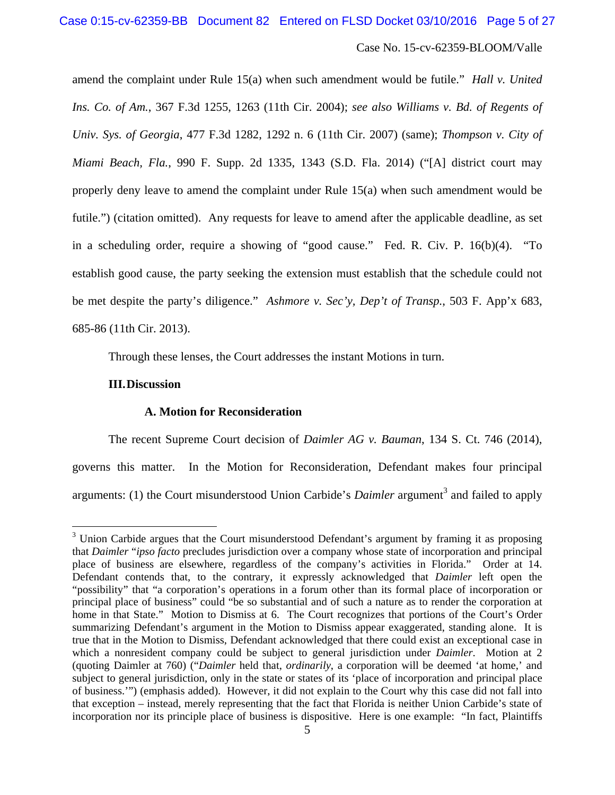amend the complaint under Rule 15(a) when such amendment would be futile." *Hall v. United Ins. Co. of Am.*, 367 F.3d 1255, 1263 (11th Cir. 2004); *see also Williams v. Bd. of Regents of Univ. Sys. of Georgia*, 477 F.3d 1282, 1292 n. 6 (11th Cir. 2007) (same); *Thompson v. City of Miami Beach, Fla.*, 990 F. Supp. 2d 1335, 1343 (S.D. Fla. 2014) ("[A] district court may properly deny leave to amend the complaint under Rule 15(a) when such amendment would be futile.") (citation omitted). Any requests for leave to amend after the applicable deadline, as set in a scheduling order, require a showing of "good cause." Fed. R. Civ. P. 16(b)(4). "To establish good cause, the party seeking the extension must establish that the schedule could not be met despite the party's diligence." *Ashmore v. Sec'y, Dep't of Transp.*, 503 F. App'x 683, 685-86 (11th Cir. 2013).

Through these lenses, the Court addresses the instant Motions in turn.

### **III.Discussion**

 $\overline{a}$ 

# **A. Motion for Reconsideration**

The recent Supreme Court decision of *Daimler AG v. Bauman*, 134 S. Ct. 746 (2014), governs this matter. In the Motion for Reconsideration, Defendant makes four principal arguments: (1) the Court misunderstood Union Carbide's *Daimler* argument<sup>3</sup> and failed to apply

 $3$  Union Carbide argues that the Court misunderstood Defendant's argument by framing it as proposing that *Daimler* "*ipso facto* precludes jurisdiction over a company whose state of incorporation and principal place of business are elsewhere, regardless of the company's activities in Florida." Order at 14. Defendant contends that, to the contrary, it expressly acknowledged that *Daimler* left open the "possibility" that "a corporation's operations in a forum other than its formal place of incorporation or principal place of business" could "be so substantial and of such a nature as to render the corporation at home in that State." Motion to Dismiss at 6. The Court recognizes that portions of the Court's Order summarizing Defendant's argument in the Motion to Dismiss appear exaggerated, standing alone. It is true that in the Motion to Dismiss, Defendant acknowledged that there could exist an exceptional case in which a nonresident company could be subject to general jurisdiction under *Daimler*. Motion at 2 (quoting Daimler at 760) ("*Daimler* held that, *ordinarily*, a corporation will be deemed 'at home,' and subject to general jurisdiction, only in the state or states of its 'place of incorporation and principal place of business.'") (emphasis added). However, it did not explain to the Court why this case did not fall into that exception – instead, merely representing that the fact that Florida is neither Union Carbide's state of incorporation nor its principle place of business is dispositive. Here is one example: "In fact, Plaintiffs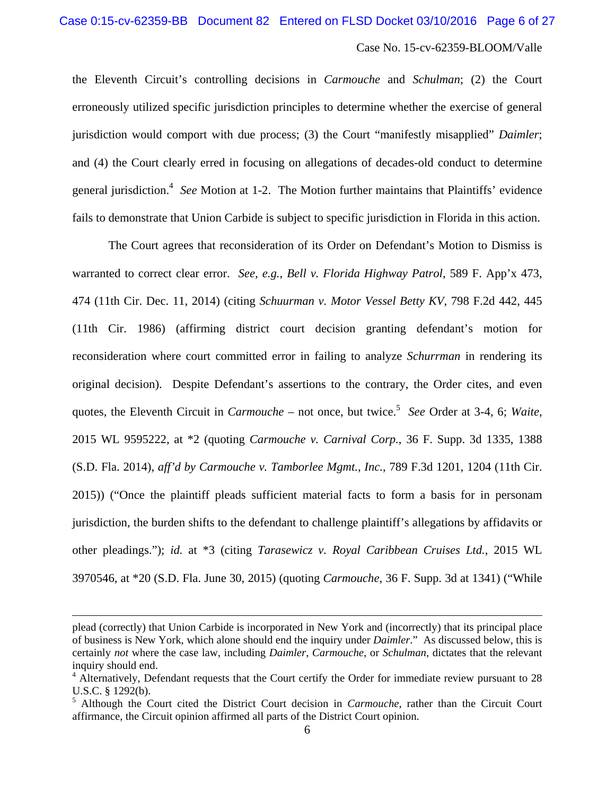the Eleventh Circuit's controlling decisions in *Carmouche* and *Schulman*; (2) the Court erroneously utilized specific jurisdiction principles to determine whether the exercise of general jurisdiction would comport with due process; (3) the Court "manifestly misapplied" *Daimler*; and (4) the Court clearly erred in focusing on allegations of decades-old conduct to determine general jurisdiction.<sup>4</sup> See Motion at 1-2. The Motion further maintains that Plaintiffs' evidence fails to demonstrate that Union Carbide is subject to specific jurisdiction in Florida in this action.

The Court agrees that reconsideration of its Order on Defendant's Motion to Dismiss is warranted to correct clear error. *See, e.g.*, *Bell v. Florida Highway Patrol*, 589 F. App'x 473, 474 (11th Cir. Dec. 11, 2014) (citing *Schuurman v. Motor Vessel Betty KV*, 798 F.2d 442, 445 (11th Cir. 1986) (affirming district court decision granting defendant's motion for reconsideration where court committed error in failing to analyze *Schurrman* in rendering its original decision). Despite Defendant's assertions to the contrary, the Order cites, and even quotes, the Eleventh Circuit in *Carmouche* – not once, but twice.<sup>5</sup> See Order at 3-4, 6; Waite, 2015 WL 9595222, at \*2 (quoting *Carmouche v. Carnival Corp.*, 36 F. Supp. 3d 1335, 1388 (S.D. Fla. 2014), *aff'd by Carmouche v. Tamborlee Mgmt., Inc.*, 789 F.3d 1201, 1204 (11th Cir. 2015)) ("Once the plaintiff pleads sufficient material facts to form a basis for in personam jurisdiction, the burden shifts to the defendant to challenge plaintiff's allegations by affidavits or other pleadings."); *id.* at \*3 (citing *Tarasewicz v. Royal Caribbean Cruises Ltd.*, 2015 WL 3970546, at \*20 (S.D. Fla. June 30, 2015) (quoting *Carmouche*, 36 F. Supp. 3d at 1341) ("While

1

plead (correctly) that Union Carbide is incorporated in New York and (incorrectly) that its principal place of business is New York, which alone should end the inquiry under *Daimler*." As discussed below, this is certainly *not* where the case law, including *Daimler*, *Carmouche*, or *Schulman*, dictates that the relevant inquiry should end.

<sup>&</sup>lt;sup>4</sup> Alternatively, Defendant requests that the Court certify the Order for immediate review pursuant to 28 U.S.C. § 1292(b).

<sup>5</sup> Although the Court cited the District Court decision in *Carmouche*, rather than the Circuit Court affirmance, the Circuit opinion affirmed all parts of the District Court opinion.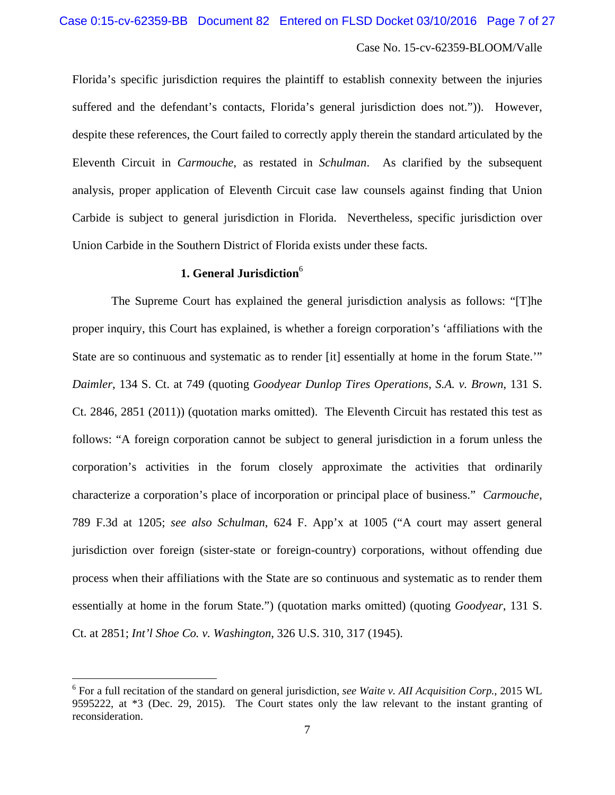Florida's specific jurisdiction requires the plaintiff to establish connexity between the injuries suffered and the defendant's contacts, Florida's general jurisdiction does not.")). However, despite these references, the Court failed to correctly apply therein the standard articulated by the Eleventh Circuit in *Carmouche*, as restated in *Schulman*. As clarified by the subsequent analysis, proper application of Eleventh Circuit case law counsels against finding that Union Carbide is subject to general jurisdiction in Florida. Nevertheless, specific jurisdiction over Union Carbide in the Southern District of Florida exists under these facts.

# **1. General Jurisdiction**<sup>6</sup>

 The Supreme Court has explained the general jurisdiction analysis as follows: "[T]he proper inquiry, this Court has explained, is whether a foreign corporation's 'affiliations with the State are so continuous and systematic as to render [it] essentially at home in the forum State.'" *Daimler*, 134 S. Ct. at 749 (quoting *Goodyear Dunlop Tires Operations, S.A. v. Brown*, 131 S. Ct. 2846, 2851 (2011)) (quotation marks omitted). The Eleventh Circuit has restated this test as follows: "A foreign corporation cannot be subject to general jurisdiction in a forum unless the corporation's activities in the forum closely approximate the activities that ordinarily characterize a corporation's place of incorporation or principal place of business." *Carmouche*, 789 F.3d at 1205; *see also Schulman*, 624 F. App'x at 1005 ("A court may assert general jurisdiction over foreign (sister-state or foreign-country) corporations, without offending due process when their affiliations with the State are so continuous and systematic as to render them essentially at home in the forum State.") (quotation marks omitted) (quoting *Goodyear*, 131 S. Ct. at 2851; *Int'l Shoe Co. v. Washington*, 326 U.S. 310, 317 (1945).

 $\overline{a}$ 

<sup>6</sup> For a full recitation of the standard on general jurisdiction, *see Waite v. AII Acquisition Corp.*, 2015 WL 9595222, at \*3 (Dec. 29, 2015). The Court states only the law relevant to the instant granting of reconsideration.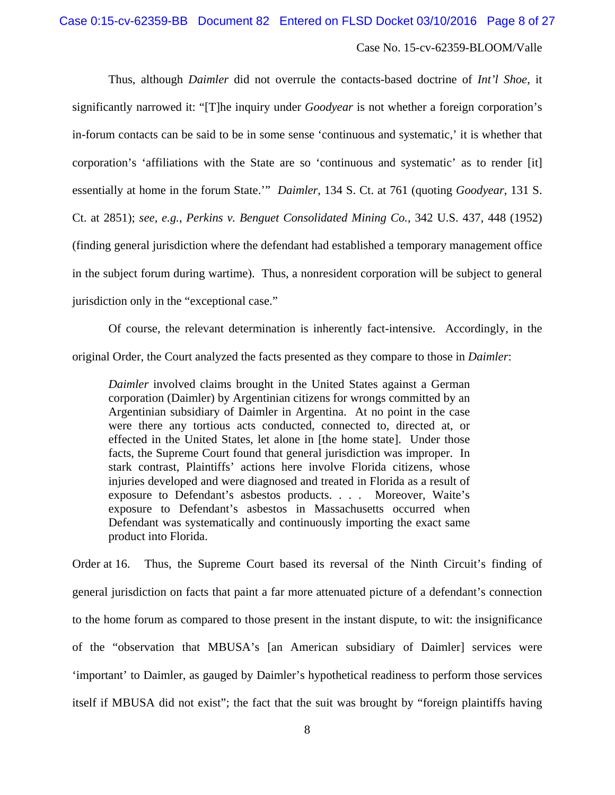Thus, although *Daimler* did not overrule the contacts-based doctrine of *Int'l Shoe*, it significantly narrowed it: "[T]he inquiry under *Goodyear* is not whether a foreign corporation's in-forum contacts can be said to be in some sense 'continuous and systematic,' it is whether that corporation's 'affiliations with the State are so 'continuous and systematic' as to render [it] essentially at home in the forum State.'" *Daimler*, 134 S. Ct. at 761 (quoting *Goodyear*, 131 S. Ct. at 2851); *see, e.g.*, *Perkins v. Benguet Consolidated Mining Co.*, 342 U.S. 437, 448 (1952) (finding general jurisdiction where the defendant had established a temporary management office in the subject forum during wartime). Thus, a nonresident corporation will be subject to general jurisdiction only in the "exceptional case."

Of course, the relevant determination is inherently fact-intensive. Accordingly, in the original Order, the Court analyzed the facts presented as they compare to those in *Daimler*:

*Daimler* involved claims brought in the United States against a German corporation (Daimler) by Argentinian citizens for wrongs committed by an Argentinian subsidiary of Daimler in Argentina. At no point in the case were there any tortious acts conducted, connected to, directed at, or effected in the United States, let alone in [the home state]. Under those facts, the Supreme Court found that general jurisdiction was improper. In stark contrast, Plaintiffs' actions here involve Florida citizens, whose injuries developed and were diagnosed and treated in Florida as a result of exposure to Defendant's asbestos products. . . . Moreover, Waite's exposure to Defendant's asbestos in Massachusetts occurred when Defendant was systematically and continuously importing the exact same product into Florida.

Order at 16. Thus, the Supreme Court based its reversal of the Ninth Circuit's finding of general jurisdiction on facts that paint a far more attenuated picture of a defendant's connection to the home forum as compared to those present in the instant dispute, to wit: the insignificance of the "observation that MBUSA's [an American subsidiary of Daimler] services were 'important' to Daimler, as gauged by Daimler's hypothetical readiness to perform those services itself if MBUSA did not exist"; the fact that the suit was brought by "foreign plaintiffs having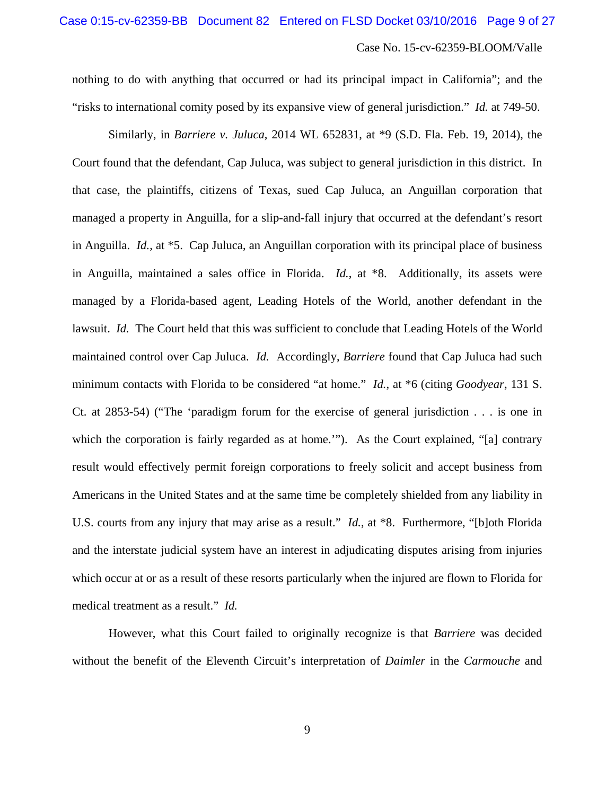nothing to do with anything that occurred or had its principal impact in California"; and the "risks to international comity posed by its expansive view of general jurisdiction." *Id.* at 749-50.

Similarly, in *Barriere v. Juluca*, 2014 WL 652831, at \*9 (S.D. Fla. Feb. 19, 2014), the Court found that the defendant, Cap Juluca, was subject to general jurisdiction in this district. In that case, the plaintiffs, citizens of Texas, sued Cap Juluca, an Anguillan corporation that managed a property in Anguilla, for a slip-and-fall injury that occurred at the defendant's resort in Anguilla. *Id.*, at \*5. Cap Juluca, an Anguillan corporation with its principal place of business in Anguilla, maintained a sales office in Florida. *Id.*, at \*8. Additionally, its assets were managed by a Florida-based agent, Leading Hotels of the World, another defendant in the lawsuit. *Id.* The Court held that this was sufficient to conclude that Leading Hotels of the World maintained control over Cap Juluca. *Id.* Accordingly, *Barriere* found that Cap Juluca had such minimum contacts with Florida to be considered "at home." *Id.*, at \*6 (citing *Goodyear*, 131 S. Ct. at 2853-54) ("The 'paradigm forum for the exercise of general jurisdiction . . . is one in which the corporation is fairly regarded as at home.""). As the Court explained, "[a] contrary result would effectively permit foreign corporations to freely solicit and accept business from Americans in the United States and at the same time be completely shielded from any liability in U.S. courts from any injury that may arise as a result." *Id.*, at \*8. Furthermore, "[b]oth Florida and the interstate judicial system have an interest in adjudicating disputes arising from injuries which occur at or as a result of these resorts particularly when the injured are flown to Florida for medical treatment as a result." *Id.*

 However, what this Court failed to originally recognize is that *Barriere* was decided without the benefit of the Eleventh Circuit's interpretation of *Daimler* in the *Carmouche* and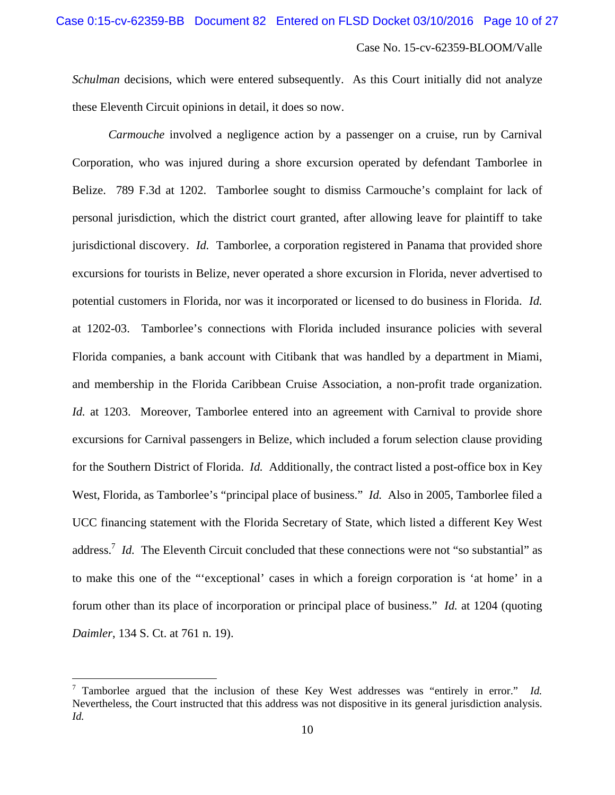*Schulman* decisions, which were entered subsequently. As this Court initially did not analyze these Eleventh Circuit opinions in detail, it does so now.

*Carmouche* involved a negligence action by a passenger on a cruise, run by Carnival Corporation, who was injured during a shore excursion operated by defendant Tamborlee in Belize. 789 F.3d at 1202. Tamborlee sought to dismiss Carmouche's complaint for lack of personal jurisdiction, which the district court granted, after allowing leave for plaintiff to take jurisdictional discovery. *Id.* Tamborlee, a corporation registered in Panama that provided shore excursions for tourists in Belize, never operated a shore excursion in Florida, never advertised to potential customers in Florida, nor was it incorporated or licensed to do business in Florida. *Id.* at 1202-03. Tamborlee's connections with Florida included insurance policies with several Florida companies, a bank account with Citibank that was handled by a department in Miami, and membership in the Florida Caribbean Cruise Association, a non-profit trade organization. *Id.* at 1203. Moreover, Tamborlee entered into an agreement with Carnival to provide shore excursions for Carnival passengers in Belize, which included a forum selection clause providing for the Southern District of Florida. *Id.* Additionally, the contract listed a post-office box in Key West, Florida, as Tamborlee's "principal place of business." *Id.* Also in 2005, Tamborlee filed a UCC financing statement with the Florida Secretary of State, which listed a different Key West address.<sup>7</sup> *Id.* The Eleventh Circuit concluded that these connections were not "so substantial" as to make this one of the "'exceptional' cases in which a foreign corporation is 'at home' in a forum other than its place of incorporation or principal place of business." *Id.* at 1204 (quoting *Daimler*, 134 S. Ct. at 761 n. 19).

 $\overline{a}$ 

<sup>7</sup> Tamborlee argued that the inclusion of these Key West addresses was "entirely in error." *Id.*  Nevertheless, the Court instructed that this address was not dispositive in its general jurisdiction analysis. *Id.*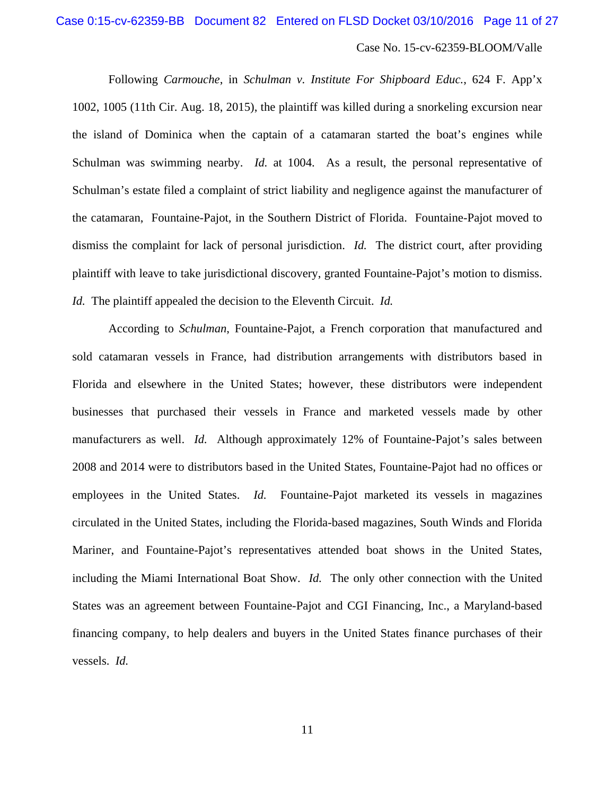Following *Carmouche*, in *Schulman v. Institute For Shipboard Educ.*, 624 F. App'x 1002, 1005 (11th Cir. Aug. 18, 2015), the plaintiff was killed during a snorkeling excursion near the island of Dominica when the captain of a catamaran started the boat's engines while Schulman was swimming nearby. *Id.* at 1004. As a result, the personal representative of Schulman's estate filed a complaint of strict liability and negligence against the manufacturer of the catamaran, Fountaine-Pajot, in the Southern District of Florida. Fountaine-Pajot moved to dismiss the complaint for lack of personal jurisdiction. *Id.* The district court, after providing plaintiff with leave to take jurisdictional discovery, granted Fountaine-Pajot's motion to dismiss. *Id.* The plaintiff appealed the decision to the Eleventh Circuit. *Id.*

According to *Schulman*, Fountaine-Pajot, a French corporation that manufactured and sold catamaran vessels in France, had distribution arrangements with distributors based in Florida and elsewhere in the United States; however, these distributors were independent businesses that purchased their vessels in France and marketed vessels made by other manufacturers as well. *Id.* Although approximately 12% of Fountaine-Pajot's sales between 2008 and 2014 were to distributors based in the United States, Fountaine-Pajot had no offices or employees in the United States. *Id.* Fountaine-Pajot marketed its vessels in magazines circulated in the United States, including the Florida-based magazines, South Winds and Florida Mariner, and Fountaine-Pajot's representatives attended boat shows in the United States, including the Miami International Boat Show. *Id.* The only other connection with the United States was an agreement between Fountaine-Pajot and CGI Financing, Inc., a Maryland-based financing company, to help dealers and buyers in the United States finance purchases of their vessels. *Id.*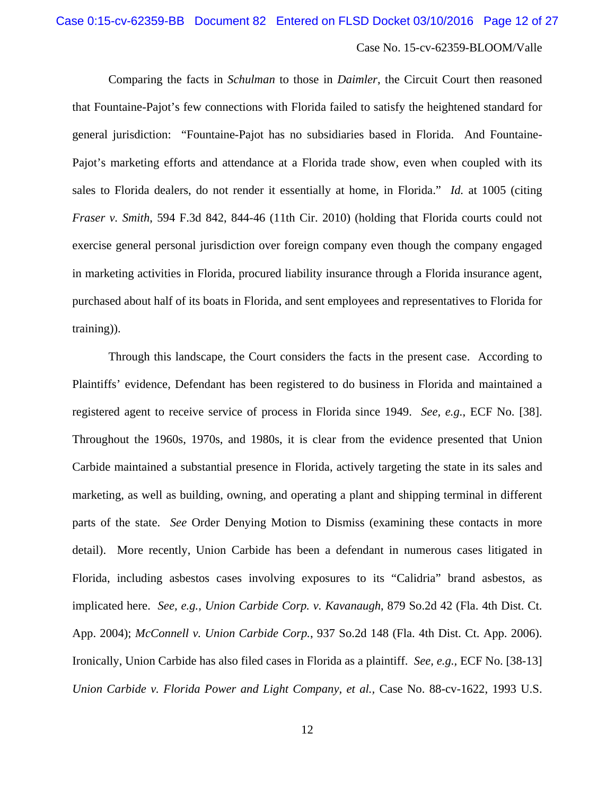Comparing the facts in *Schulman* to those in *Daimler*, the Circuit Court then reasoned that Fountaine-Pajot's few connections with Florida failed to satisfy the heightened standard for general jurisdiction: "Fountaine-Pajot has no subsidiaries based in Florida. And Fountaine-Pajot's marketing efforts and attendance at a Florida trade show, even when coupled with its sales to Florida dealers, do not render it essentially at home, in Florida." *Id.* at 1005 (citing *Fraser v. Smith*, 594 F.3d 842, 844-46 (11th Cir. 2010) (holding that Florida courts could not exercise general personal jurisdiction over foreign company even though the company engaged in marketing activities in Florida, procured liability insurance through a Florida insurance agent, purchased about half of its boats in Florida, and sent employees and representatives to Florida for training)).

Through this landscape, the Court considers the facts in the present case. According to Plaintiffs' evidence, Defendant has been registered to do business in Florida and maintained a registered agent to receive service of process in Florida since 1949. *See, e.g.*, ECF No. [38]. Throughout the 1960s, 1970s, and 1980s, it is clear from the evidence presented that Union Carbide maintained a substantial presence in Florida, actively targeting the state in its sales and marketing, as well as building, owning, and operating a plant and shipping terminal in different parts of the state. *See* Order Denying Motion to Dismiss (examining these contacts in more detail). More recently, Union Carbide has been a defendant in numerous cases litigated in Florida, including asbestos cases involving exposures to its "Calidria" brand asbestos, as implicated here. *See, e.g., Union Carbide Corp. v. Kavanaugh*, 879 So.2d 42 (Fla. 4th Dist. Ct. App. 2004); *McConnell v. Union Carbide Corp.*, 937 So.2d 148 (Fla. 4th Dist. Ct. App. 2006). Ironically, Union Carbide has also filed cases in Florida as a plaintiff. *See, e.g.,* ECF No. [38-13] *Union Carbide v. Florida Power and Light Company, et al.,* Case No. 88-cv-1622, 1993 U.S.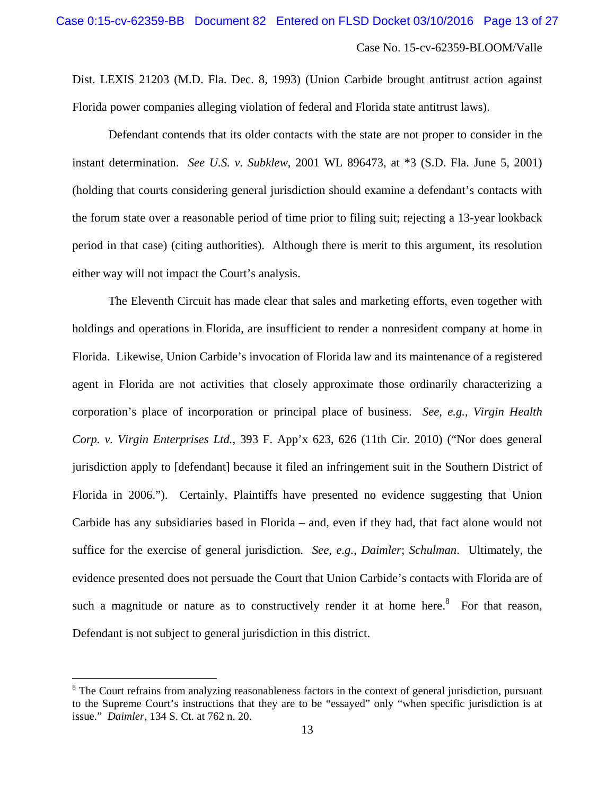Dist. LEXIS 21203 (M.D. Fla. Dec. 8, 1993) (Union Carbide brought antitrust action against Florida power companies alleging violation of federal and Florida state antitrust laws).

Defendant contends that its older contacts with the state are not proper to consider in the instant determination. *See U.S. v. Subklew*, 2001 WL 896473, at \*3 (S.D. Fla. June 5, 2001) (holding that courts considering general jurisdiction should examine a defendant's contacts with the forum state over a reasonable period of time prior to filing suit; rejecting a 13-year lookback period in that case) (citing authorities). Although there is merit to this argument, its resolution either way will not impact the Court's analysis.

The Eleventh Circuit has made clear that sales and marketing efforts, even together with holdings and operations in Florida, are insufficient to render a nonresident company at home in Florida. Likewise, Union Carbide's invocation of Florida law and its maintenance of a registered agent in Florida are not activities that closely approximate those ordinarily characterizing a corporation's place of incorporation or principal place of business. *See, e.g.*, *Virgin Health Corp. v. Virgin Enterprises Ltd.*, 393 F. App'x 623, 626 (11th Cir. 2010) ("Nor does general jurisdiction apply to [defendant] because it filed an infringement suit in the Southern District of Florida in 2006."). Certainly, Plaintiffs have presented no evidence suggesting that Union Carbide has any subsidiaries based in Florida – and, even if they had, that fact alone would not suffice for the exercise of general jurisdiction. *See, e.g.*, *Daimler*; *Schulman*. Ultimately, the evidence presented does not persuade the Court that Union Carbide's contacts with Florida are of such a magnitude or nature as to constructively render it at home here.<sup>8</sup> For that reason, Defendant is not subject to general jurisdiction in this district.

 $\overline{a}$ 

<sup>&</sup>lt;sup>8</sup> The Court refrains from analyzing reasonableness factors in the context of general jurisdiction, pursuant to the Supreme Court's instructions that they are to be "essayed" only "when specific jurisdiction is at issue." *Daimler*, 134 S. Ct. at 762 n. 20.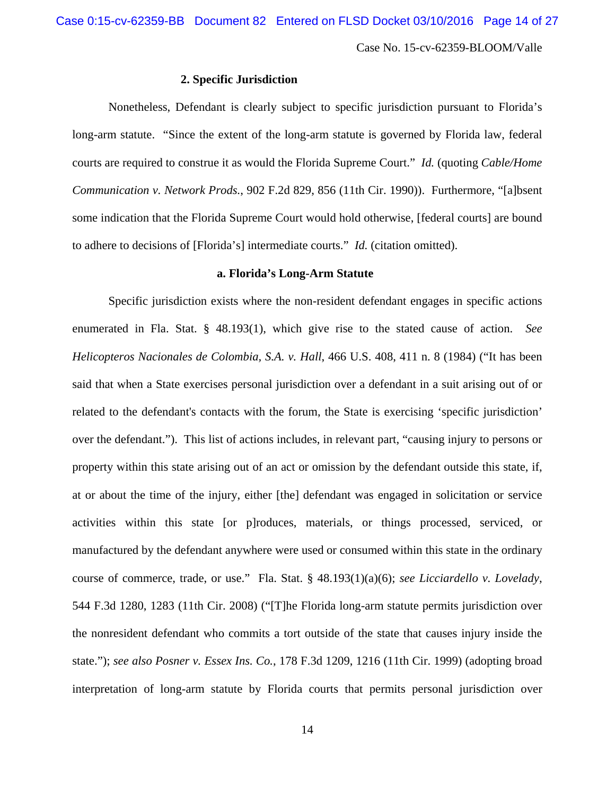# **2. Specific Jurisdiction**

Nonetheless, Defendant is clearly subject to specific jurisdiction pursuant to Florida's long-arm statute. "Since the extent of the long-arm statute is governed by Florida law, federal courts are required to construe it as would the Florida Supreme Court." *Id.* (quoting *Cable/Home Communication v. Network Prods.*, 902 F.2d 829, 856 (11th Cir. 1990)). Furthermore, "[a]bsent some indication that the Florida Supreme Court would hold otherwise, [federal courts] are bound to adhere to decisions of [Florida's] intermediate courts." *Id.* (citation omitted).

#### **a. Florida's Long-Arm Statute**

Specific jurisdiction exists where the non-resident defendant engages in specific actions enumerated in Fla. Stat. § 48.193(1), which give rise to the stated cause of action. *See Helicopteros Nacionales de Colombia, S.A. v. Hall*, 466 U.S. 408, 411 n. 8 (1984) ("It has been said that when a State exercises personal jurisdiction over a defendant in a suit arising out of or related to the defendant's contacts with the forum, the State is exercising 'specific jurisdiction' over the defendant."). This list of actions includes, in relevant part, "causing injury to persons or property within this state arising out of an act or omission by the defendant outside this state, if, at or about the time of the injury, either [the] defendant was engaged in solicitation or service activities within this state [or p]roduces, materials, or things processed, serviced, or manufactured by the defendant anywhere were used or consumed within this state in the ordinary course of commerce, trade, or use." Fla. Stat. § 48.193(1)(a)(6); *see Licciardello v. Lovelady*, 544 F.3d 1280, 1283 (11th Cir. 2008) ("[T]he Florida long-arm statute permits jurisdiction over the nonresident defendant who commits a tort outside of the state that causes injury inside the state."); *see also Posner v. Essex Ins. Co.*, 178 F.3d 1209, 1216 (11th Cir. 1999) (adopting broad interpretation of long-arm statute by Florida courts that permits personal jurisdiction over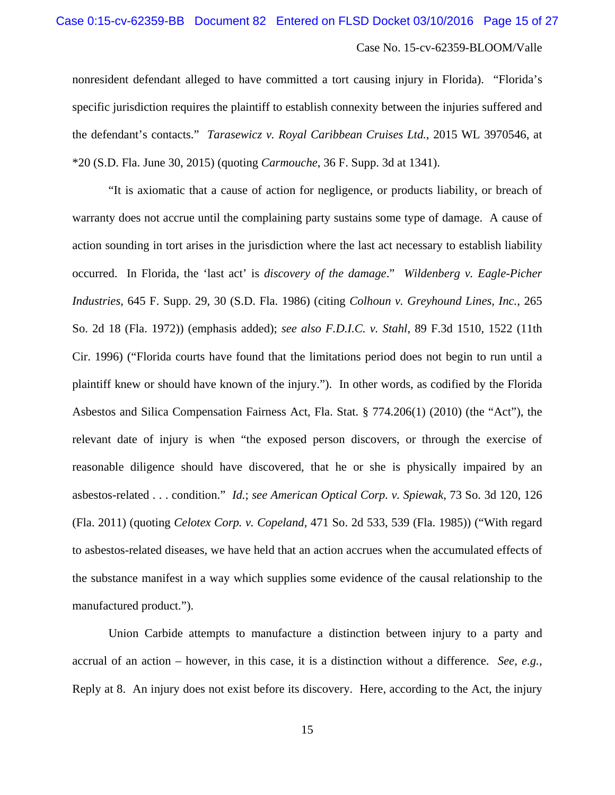nonresident defendant alleged to have committed a tort causing injury in Florida). "Florida's specific jurisdiction requires the plaintiff to establish connexity between the injuries suffered and the defendant's contacts." *Tarasewicz v. Royal Caribbean Cruises Ltd.*, 2015 WL 3970546, at \*20 (S.D. Fla. June 30, 2015) (quoting *Carmouche*, 36 F. Supp. 3d at 1341).

"It is axiomatic that a cause of action for negligence, or products liability, or breach of warranty does not accrue until the complaining party sustains some type of damage. A cause of action sounding in tort arises in the jurisdiction where the last act necessary to establish liability occurred. In Florida, the 'last act' is *discovery of the damage*." *Wildenberg v. Eagle-Picher Industries*, 645 F. Supp. 29, 30 (S.D. Fla. 1986) (citing *Colhoun v. Greyhound Lines, Inc.*, 265 So. 2d 18 (Fla. 1972)) (emphasis added); *see also F.D.I.C. v. Stahl*, 89 F.3d 1510, 1522 (11th Cir. 1996) ("Florida courts have found that the limitations period does not begin to run until a plaintiff knew or should have known of the injury."). In other words, as codified by the Florida Asbestos and Silica Compensation Fairness Act, Fla. Stat. § 774.206(1) (2010) (the "Act"), the relevant date of injury is when "the exposed person discovers, or through the exercise of reasonable diligence should have discovered, that he or she is physically impaired by an asbestos-related . . . condition." *Id.*; *see American Optical Corp. v. Spiewak*, 73 So. 3d 120, 126 (Fla. 2011) (quoting *Celotex Corp. v. Copeland*, 471 So. 2d 533, 539 (Fla. 1985)) ("With regard to asbestos-related diseases, we have held that an action accrues when the accumulated effects of the substance manifest in a way which supplies some evidence of the causal relationship to the manufactured product.").

Union Carbide attempts to manufacture a distinction between injury to a party and accrual of an action – however, in this case, it is a distinction without a difference. *See, e.g.*, Reply at 8. An injury does not exist before its discovery. Here, according to the Act, the injury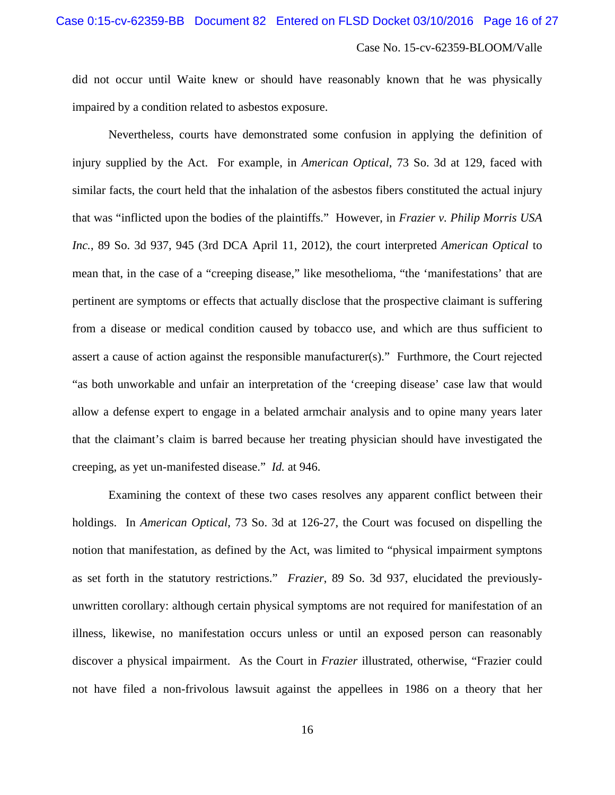did not occur until Waite knew or should have reasonably known that he was physically impaired by a condition related to asbestos exposure.

Nevertheless, courts have demonstrated some confusion in applying the definition of injury supplied by the Act. For example, in *American Optical*, 73 So. 3d at 129, faced with similar facts, the court held that the inhalation of the asbestos fibers constituted the actual injury that was "inflicted upon the bodies of the plaintiffs." However, in *Frazier v. Philip Morris USA Inc.*, 89 So. 3d 937, 945 (3rd DCA April 11, 2012), the court interpreted *American Optical* to mean that, in the case of a "creeping disease," like mesothelioma, "the 'manifestations' that are pertinent are symptoms or effects that actually disclose that the prospective claimant is suffering from a disease or medical condition caused by tobacco use, and which are thus sufficient to assert a cause of action against the responsible manufacturer(s)." Furthmore, the Court rejected "as both unworkable and unfair an interpretation of the 'creeping disease' case law that would allow a defense expert to engage in a belated armchair analysis and to opine many years later that the claimant's claim is barred because her treating physician should have investigated the creeping, as yet un-manifested disease." *Id.* at 946.

Examining the context of these two cases resolves any apparent conflict between their holdings. In *American Optical*, 73 So. 3d at 126-27, the Court was focused on dispelling the notion that manifestation, as defined by the Act, was limited to "physical impairment symptons as set forth in the statutory restrictions." *Frazier*, 89 So. 3d 937, elucidated the previouslyunwritten corollary: although certain physical symptoms are not required for manifestation of an illness, likewise, no manifestation occurs unless or until an exposed person can reasonably discover a physical impairment. As the Court in *Frazier* illustrated, otherwise, "Frazier could not have filed a non-frivolous lawsuit against the appellees in 1986 on a theory that her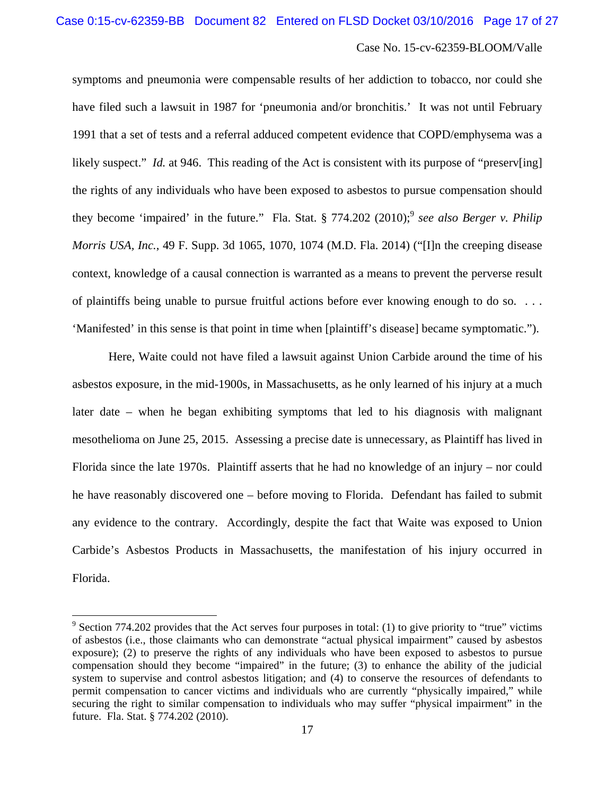symptoms and pneumonia were compensable results of her addiction to tobacco, nor could she have filed such a lawsuit in 1987 for 'pneumonia and/or bronchitis.' It was not until February 1991 that a set of tests and a referral adduced competent evidence that COPD/emphysema was a likely suspect." *Id.* at 946. This reading of the Act is consistent with its purpose of "preserv[ing] the rights of any individuals who have been exposed to asbestos to pursue compensation should they become 'impaired' in the future." Fla. Stat. § 774.202 (2010);<sup>9</sup> see also Berger v. Philip *Morris USA, Inc.*, 49 F. Supp. 3d 1065, 1070, 1074 (M.D. Fla. 2014) ("[I]n the creeping disease context, knowledge of a causal connection is warranted as a means to prevent the perverse result of plaintiffs being unable to pursue fruitful actions before ever knowing enough to do so. . . . 'Manifested' in this sense is that point in time when [plaintiff's disease] became symptomatic.").

Here, Waite could not have filed a lawsuit against Union Carbide around the time of his asbestos exposure, in the mid-1900s, in Massachusetts, as he only learned of his injury at a much later date – when he began exhibiting symptoms that led to his diagnosis with malignant mesothelioma on June 25, 2015. Assessing a precise date is unnecessary, as Plaintiff has lived in Florida since the late 1970s. Plaintiff asserts that he had no knowledge of an injury – nor could he have reasonably discovered one – before moving to Florida. Defendant has failed to submit any evidence to the contrary. Accordingly, despite the fact that Waite was exposed to Union Carbide's Asbestos Products in Massachusetts, the manifestation of his injury occurred in Florida.

1

 $9^9$  Section 774.202 provides that the Act serves four purposes in total: (1) to give priority to "true" victims of asbestos (i.e., those claimants who can demonstrate "actual physical impairment" caused by asbestos exposure); (2) to preserve the rights of any individuals who have been exposed to asbestos to pursue compensation should they become "impaired" in the future; (3) to enhance the ability of the judicial system to supervise and control asbestos litigation; and (4) to conserve the resources of defendants to permit compensation to cancer victims and individuals who are currently "physically impaired," while securing the right to similar compensation to individuals who may suffer "physical impairment" in the future. Fla. Stat. § 774.202 (2010).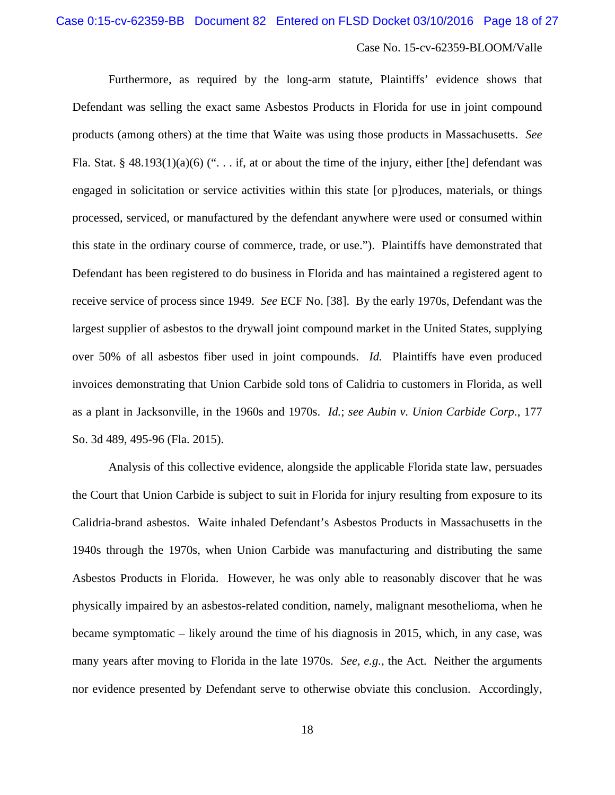Furthermore, as required by the long-arm statute, Plaintiffs' evidence shows that Defendant was selling the exact same Asbestos Products in Florida for use in joint compound products (among others) at the time that Waite was using those products in Massachusetts. *See* Fla. Stat. § 48.193(1)(a)(6) ("... if, at or about the time of the injury, either [the] defendant was engaged in solicitation or service activities within this state [or p]roduces, materials, or things processed, serviced, or manufactured by the defendant anywhere were used or consumed within this state in the ordinary course of commerce, trade, or use."). Plaintiffs have demonstrated that Defendant has been registered to do business in Florida and has maintained a registered agent to receive service of process since 1949. *See* ECF No. [38]. By the early 1970s, Defendant was the largest supplier of asbestos to the drywall joint compound market in the United States, supplying over 50% of all asbestos fiber used in joint compounds. *Id.* Plaintiffs have even produced invoices demonstrating that Union Carbide sold tons of Calidria to customers in Florida, as well as a plant in Jacksonville, in the 1960s and 1970s. *Id.*; *see Aubin v. Union Carbide Corp.*, 177 So. 3d 489, 495-96 (Fla. 2015).

Analysis of this collective evidence, alongside the applicable Florida state law, persuades the Court that Union Carbide is subject to suit in Florida for injury resulting from exposure to its Calidria-brand asbestos. Waite inhaled Defendant's Asbestos Products in Massachusetts in the 1940s through the 1970s, when Union Carbide was manufacturing and distributing the same Asbestos Products in Florida. However, he was only able to reasonably discover that he was physically impaired by an asbestos-related condition, namely, malignant mesothelioma, when he became symptomatic – likely around the time of his diagnosis in 2015, which, in any case, was many years after moving to Florida in the late 1970s. *See, e.g.*, the Act. Neither the arguments nor evidence presented by Defendant serve to otherwise obviate this conclusion. Accordingly,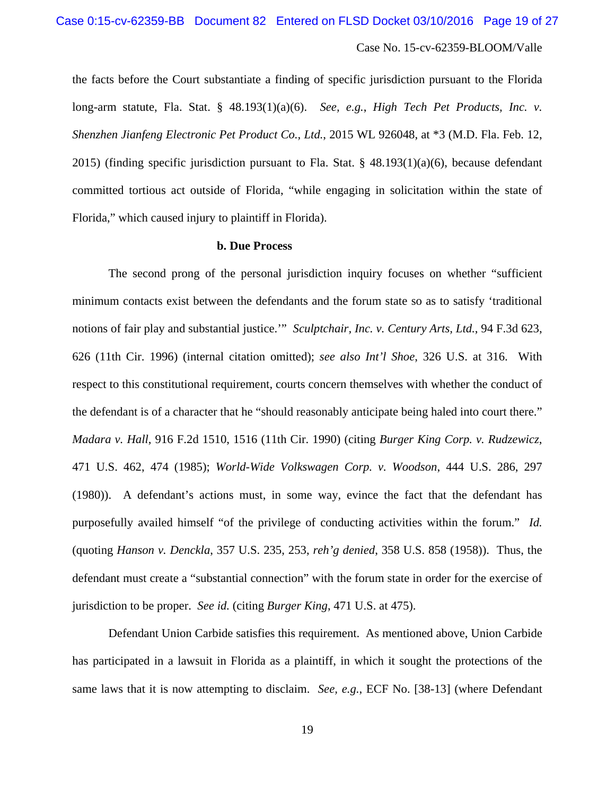the facts before the Court substantiate a finding of specific jurisdiction pursuant to the Florida long-arm statute, Fla. Stat. § 48.193(1)(a)(6). *See, e.g.*, *High Tech Pet Products, Inc. v. Shenzhen Jianfeng Electronic Pet Product Co., Ltd.*, 2015 WL 926048, at \*3 (M.D. Fla. Feb. 12, 2015) (finding specific jurisdiction pursuant to Fla. Stat. §  $48.193(1)(a)(6)$ , because defendant committed tortious act outside of Florida, "while engaging in solicitation within the state of Florida," which caused injury to plaintiff in Florida).

#### **b. Due Process**

The second prong of the personal jurisdiction inquiry focuses on whether "sufficient minimum contacts exist between the defendants and the forum state so as to satisfy 'traditional notions of fair play and substantial justice.'" *Sculptchair, Inc. v. Century Arts, Ltd.*, 94 F.3d 623, 626 (11th Cir. 1996) (internal citation omitted); *see also Int'l Shoe*, 326 U.S. at 316. With respect to this constitutional requirement, courts concern themselves with whether the conduct of the defendant is of a character that he "should reasonably anticipate being haled into court there." *Madara v. Hall*, 916 F.2d 1510, 1516 (11th Cir. 1990) (citing *Burger King Corp. v. Rudzewicz*, 471 U.S. 462, 474 (1985); *World-Wide Volkswagen Corp. v. Woodson*, 444 U.S. 286, 297 (1980)). A defendant's actions must, in some way, evince the fact that the defendant has purposefully availed himself "of the privilege of conducting activities within the forum." *Id.* (quoting *Hanson v. Denckla*, 357 U.S. 235, 253, *reh'g denied*, 358 U.S. 858 (1958)). Thus, the defendant must create a "substantial connection" with the forum state in order for the exercise of jurisdiction to be proper. *See id.* (citing *Burger King*, 471 U.S. at 475).

Defendant Union Carbide satisfies this requirement. As mentioned above, Union Carbide has participated in a lawsuit in Florida as a plaintiff, in which it sought the protections of the same laws that it is now attempting to disclaim. *See, e.g.*, ECF No. [38-13] (where Defendant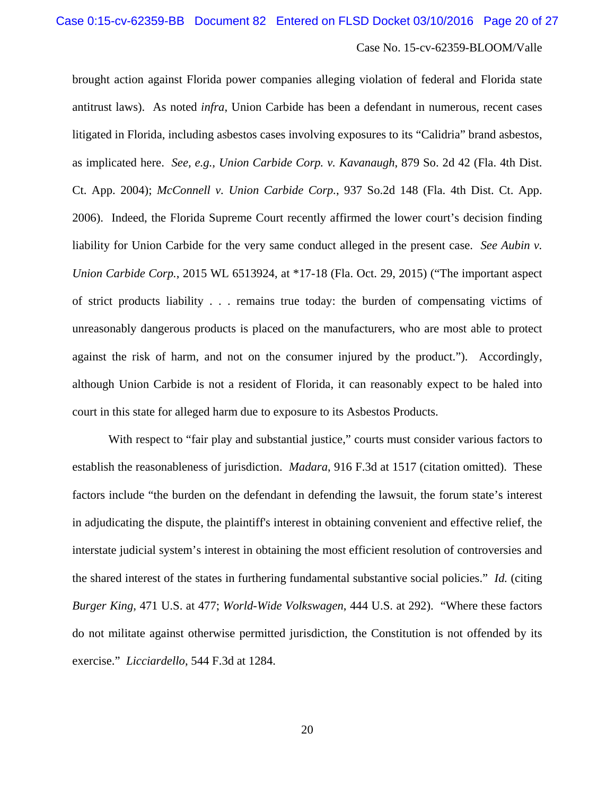brought action against Florida power companies alleging violation of federal and Florida state antitrust laws). As noted *infra*, Union Carbide has been a defendant in numerous, recent cases litigated in Florida, including asbestos cases involving exposures to its "Calidria" brand asbestos, as implicated here. *See, e.g., Union Carbide Corp. v. Kavanaugh*, 879 So. 2d 42 (Fla. 4th Dist. Ct. App. 2004); *McConnell v. Union Carbide Corp.*, 937 So.2d 148 (Fla. 4th Dist. Ct. App. 2006). Indeed, the Florida Supreme Court recently affirmed the lower court's decision finding liability for Union Carbide for the very same conduct alleged in the present case. *See Aubin v. Union Carbide Corp.*, 2015 WL 6513924, at \*17-18 (Fla. Oct. 29, 2015) ("The important aspect of strict products liability . . . remains true today: the burden of compensating victims of unreasonably dangerous products is placed on the manufacturers, who are most able to protect against the risk of harm, and not on the consumer injured by the product."). Accordingly, although Union Carbide is not a resident of Florida, it can reasonably expect to be haled into court in this state for alleged harm due to exposure to its Asbestos Products.

With respect to "fair play and substantial justice," courts must consider various factors to establish the reasonableness of jurisdiction. *Madara*, 916 F.3d at 1517 (citation omitted). These factors include "the burden on the defendant in defending the lawsuit, the forum state's interest in adjudicating the dispute, the plaintiff's interest in obtaining convenient and effective relief, the interstate judicial system's interest in obtaining the most efficient resolution of controversies and the shared interest of the states in furthering fundamental substantive social policies." *Id.* (citing *Burger King*, 471 U.S. at 477; *World-Wide Volkswagen*, 444 U.S. at 292). "Where these factors do not militate against otherwise permitted jurisdiction, the Constitution is not offended by its exercise." *Licciardello*, 544 F.3d at 1284.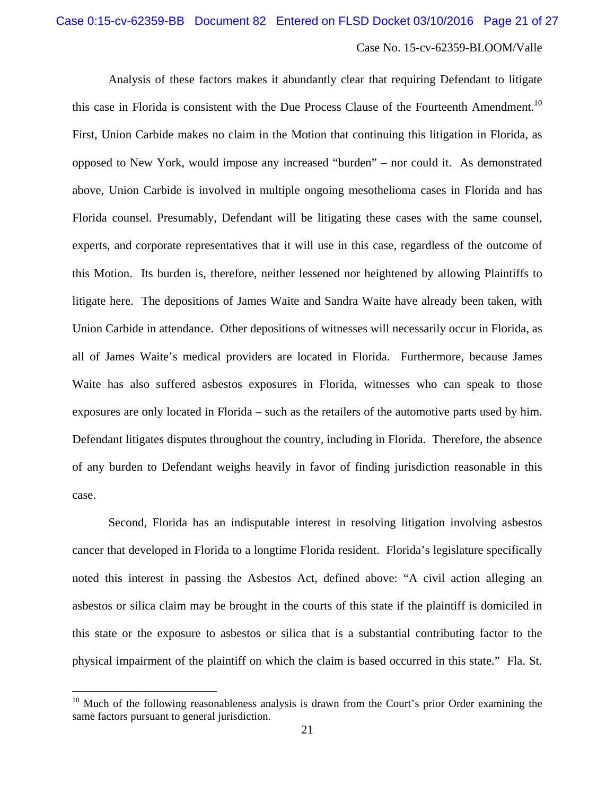Analysis of these factors makes it abundantly clear that requiring Defendant to litigate this case in Florida is consistent with the Due Process Clause of the Fourteenth Amendment.<sup>10</sup> First, Union Carbide makes no claim in the Motion that continuing this litigation in Florida, as opposed to New York, would impose any increased "burden" – nor could it. As demonstrated above, Union Carbide is involved in multiple ongoing mesothelioma cases in Florida and has Florida counsel. Presumably, Defendant will be litigating these cases with the same counsel, experts, and corporate representatives that it will use in this case, regardless of the outcome of this Motion. Its burden is, therefore, neither lessened nor heightened by allowing Plaintiffs to litigate here. The depositions of James Waite and Sandra Waite have already been taken, with Union Carbide in attendance. Other depositions of witnesses will necessarily occur in Florida, as all of James Waite's medical providers are located in Florida. Furthermore, because James Waite has also suffered asbestos exposures in Florida, witnesses who can speak to those exposures are only located in Florida – such as the retailers of the automotive parts used by him. Defendant litigates disputes throughout the country, including in Florida. Therefore, the absence of any burden to Defendant weighs heavily in favor of finding jurisdiction reasonable in this case.

Second, Florida has an indisputable interest in resolving litigation involving asbestos cancer that developed in Florida to a longtime Florida resident. Florida's legislature specifically noted this interest in passing the Asbestos Act, defined above: "A civil action alleging an asbestos or silica claim may be brought in the courts of this state if the plaintiff is domiciled in this state or the exposure to asbestos or silica that is a substantial contributing factor to the physical impairment of the plaintiff on which the claim is based occurred in this state." Fla. St.

<u>.</u>

 $10$  Much of the following reasonableness analysis is drawn from the Court's prior Order examining the same factors pursuant to general jurisdiction.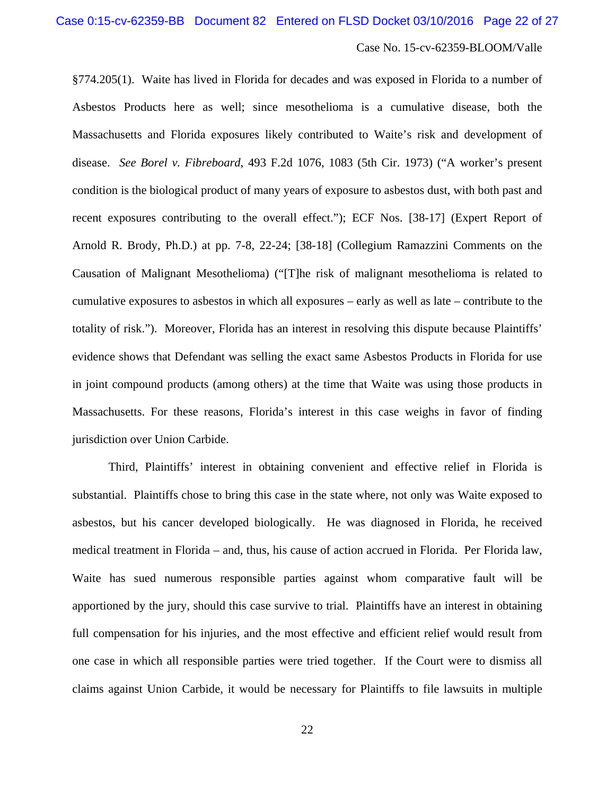§774.205(1). Waite has lived in Florida for decades and was exposed in Florida to a number of Asbestos Products here as well; since mesothelioma is a cumulative disease, both the Massachusetts and Florida exposures likely contributed to Waite's risk and development of disease. *See Borel v. Fibreboard*, 493 F.2d 1076, 1083 (5th Cir. 1973) ("A worker's present condition is the biological product of many years of exposure to asbestos dust, with both past and recent exposures contributing to the overall effect."); ECF Nos. [38-17] (Expert Report of Arnold R. Brody, Ph.D.) at pp. 7-8, 22-24; [38-18] (Collegium Ramazzini Comments on the Causation of Malignant Mesothelioma) ("[T]he risk of malignant mesothelioma is related to cumulative exposures to asbestos in which all exposures – early as well as late – contribute to the totality of risk."). Moreover, Florida has an interest in resolving this dispute because Plaintiffs' evidence shows that Defendant was selling the exact same Asbestos Products in Florida for use in joint compound products (among others) at the time that Waite was using those products in Massachusetts. For these reasons, Florida's interest in this case weighs in favor of finding jurisdiction over Union Carbide.

Third, Plaintiffs' interest in obtaining convenient and effective relief in Florida is substantial. Plaintiffs chose to bring this case in the state where, not only was Waite exposed to asbestos, but his cancer developed biologically. He was diagnosed in Florida, he received medical treatment in Florida – and, thus, his cause of action accrued in Florida. Per Florida law, Waite has sued numerous responsible parties against whom comparative fault will be apportioned by the jury, should this case survive to trial. Plaintiffs have an interest in obtaining full compensation for his injuries, and the most effective and efficient relief would result from one case in which all responsible parties were tried together. If the Court were to dismiss all claims against Union Carbide, it would be necessary for Plaintiffs to file lawsuits in multiple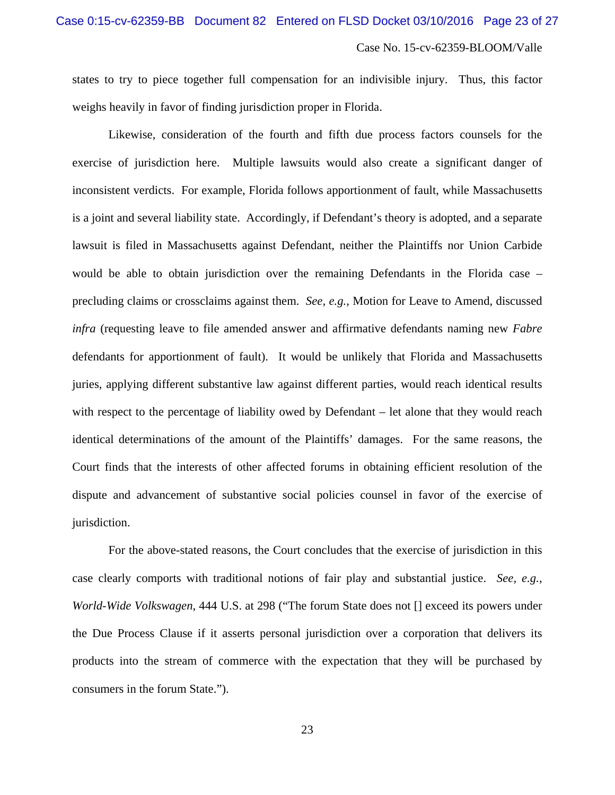states to try to piece together full compensation for an indivisible injury. Thus, this factor weighs heavily in favor of finding jurisdiction proper in Florida.

Likewise, consideration of the fourth and fifth due process factors counsels for the exercise of jurisdiction here. Multiple lawsuits would also create a significant danger of inconsistent verdicts. For example, Florida follows apportionment of fault, while Massachusetts is a joint and several liability state. Accordingly, if Defendant's theory is adopted, and a separate lawsuit is filed in Massachusetts against Defendant, neither the Plaintiffs nor Union Carbide would be able to obtain jurisdiction over the remaining Defendants in the Florida case – precluding claims or crossclaims against them. *See, e.g.*, Motion for Leave to Amend, discussed *infra* (requesting leave to file amended answer and affirmative defendants naming new *Fabre* defendants for apportionment of fault). It would be unlikely that Florida and Massachusetts juries, applying different substantive law against different parties, would reach identical results with respect to the percentage of liability owed by Defendant – let alone that they would reach identical determinations of the amount of the Plaintiffs' damages. For the same reasons, the Court finds that the interests of other affected forums in obtaining efficient resolution of the dispute and advancement of substantive social policies counsel in favor of the exercise of jurisdiction.

For the above-stated reasons, the Court concludes that the exercise of jurisdiction in this case clearly comports with traditional notions of fair play and substantial justice. *See, e.g.*, *World-Wide Volkswagen*, 444 U.S. at 298 ("The forum State does not [] exceed its powers under the Due Process Clause if it asserts personal jurisdiction over a corporation that delivers its products into the stream of commerce with the expectation that they will be purchased by consumers in the forum State.").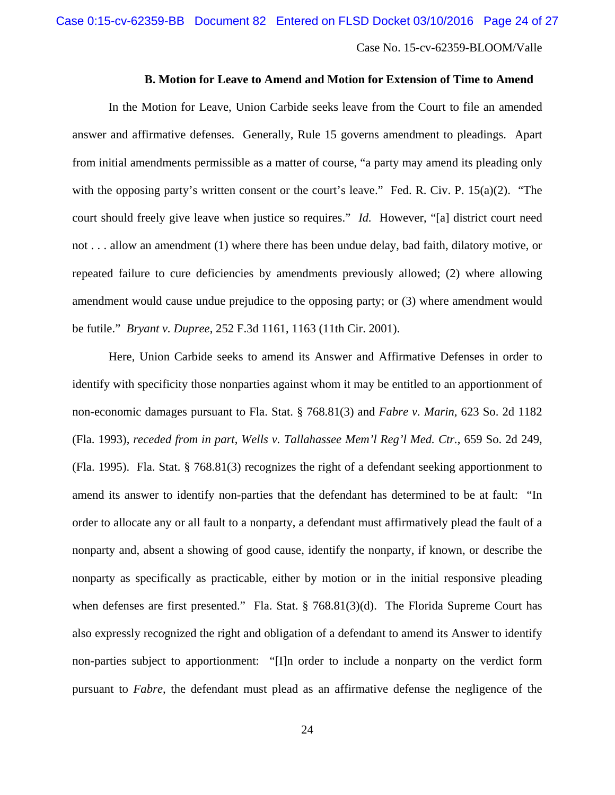## **B. Motion for Leave to Amend and Motion for Extension of Time to Amend**

In the Motion for Leave, Union Carbide seeks leave from the Court to file an amended answer and affirmative defenses. Generally, Rule 15 governs amendment to pleadings. Apart from initial amendments permissible as a matter of course, "a party may amend its pleading only with the opposing party's written consent or the court's leave." Fed. R. Civ. P. 15(a)(2). "The court should freely give leave when justice so requires." *Id.* However, "[a] district court need not . . . allow an amendment (1) where there has been undue delay, bad faith, dilatory motive, or repeated failure to cure deficiencies by amendments previously allowed; (2) where allowing amendment would cause undue prejudice to the opposing party; or (3) where amendment would be futile." *Bryant v. Dupree*, 252 F.3d 1161, 1163 (11th Cir. 2001).

Here, Union Carbide seeks to amend its Answer and Affirmative Defenses in order to identify with specificity those nonparties against whom it may be entitled to an apportionment of non-economic damages pursuant to Fla. Stat. § 768.81(3) and *Fabre v. Marin*, 623 So. 2d 1182 (Fla. 1993), *receded from in part*, *Wells v. Tallahassee Mem'l Reg'l Med. Ctr.*, 659 So. 2d 249, (Fla. 1995). Fla. Stat. § 768.81(3) recognizes the right of a defendant seeking apportionment to amend its answer to identify non-parties that the defendant has determined to be at fault: "In order to allocate any or all fault to a nonparty, a defendant must affirmatively plead the fault of a nonparty and, absent a showing of good cause, identify the nonparty, if known, or describe the nonparty as specifically as practicable, either by motion or in the initial responsive pleading when defenses are first presented." Fla. Stat. § 768.81(3)(d). The Florida Supreme Court has also expressly recognized the right and obligation of a defendant to amend its Answer to identify non-parties subject to apportionment: "[I]n order to include a nonparty on the verdict form pursuant to *Fabre*, the defendant must plead as an affirmative defense the negligence of the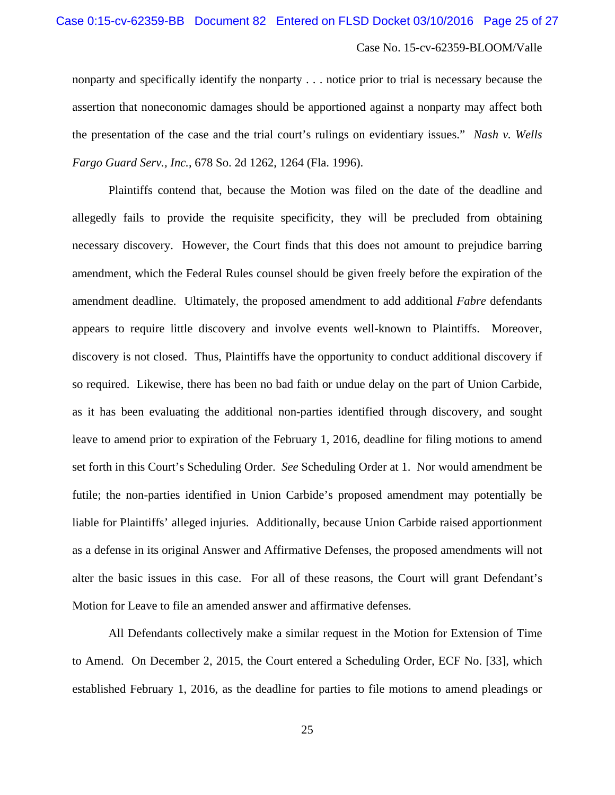nonparty and specifically identify the nonparty . . . notice prior to trial is necessary because the assertion that noneconomic damages should be apportioned against a nonparty may affect both the presentation of the case and the trial court's rulings on evidentiary issues." *Nash v. Wells Fargo Guard Serv., Inc.*, 678 So. 2d 1262, 1264 (Fla. 1996).

Plaintiffs contend that, because the Motion was filed on the date of the deadline and allegedly fails to provide the requisite specificity, they will be precluded from obtaining necessary discovery. However, the Court finds that this does not amount to prejudice barring amendment, which the Federal Rules counsel should be given freely before the expiration of the amendment deadline. Ultimately, the proposed amendment to add additional *Fabre* defendants appears to require little discovery and involve events well-known to Plaintiffs. Moreover, discovery is not closed. Thus, Plaintiffs have the opportunity to conduct additional discovery if so required. Likewise, there has been no bad faith or undue delay on the part of Union Carbide, as it has been evaluating the additional non-parties identified through discovery, and sought leave to amend prior to expiration of the February 1, 2016, deadline for filing motions to amend set forth in this Court's Scheduling Order. *See* Scheduling Order at 1. Nor would amendment be futile; the non-parties identified in Union Carbide's proposed amendment may potentially be liable for Plaintiffs' alleged injuries. Additionally, because Union Carbide raised apportionment as a defense in its original Answer and Affirmative Defenses, the proposed amendments will not alter the basic issues in this case. For all of these reasons, the Court will grant Defendant's Motion for Leave to file an amended answer and affirmative defenses.

All Defendants collectively make a similar request in the Motion for Extension of Time to Amend. On December 2, 2015, the Court entered a Scheduling Order, ECF No. [33], which established February 1, 2016, as the deadline for parties to file motions to amend pleadings or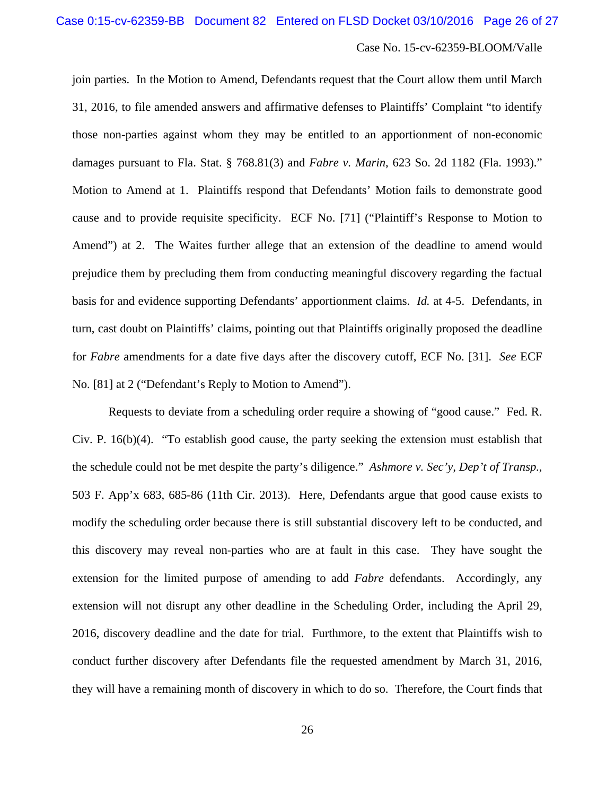join parties. In the Motion to Amend, Defendants request that the Court allow them until March 31, 2016, to file amended answers and affirmative defenses to Plaintiffs' Complaint "to identify those non-parties against whom they may be entitled to an apportionment of non-economic damages pursuant to Fla. Stat. § 768.81(3) and *Fabre v. Marin*, 623 So. 2d 1182 (Fla. 1993)." Motion to Amend at 1. Plaintiffs respond that Defendants' Motion fails to demonstrate good cause and to provide requisite specificity. ECF No. [71] ("Plaintiff's Response to Motion to Amend") at 2. The Waites further allege that an extension of the deadline to amend would prejudice them by precluding them from conducting meaningful discovery regarding the factual basis for and evidence supporting Defendants' apportionment claims. *Id.* at 4-5. Defendants, in turn, cast doubt on Plaintiffs' claims, pointing out that Plaintiffs originally proposed the deadline for *Fabre* amendments for a date five days after the discovery cutoff, ECF No. [31]. *See* ECF No. [81] at 2 ("Defendant's Reply to Motion to Amend").

Requests to deviate from a scheduling order require a showing of "good cause." Fed. R. Civ. P. 16(b)(4). "To establish good cause, the party seeking the extension must establish that the schedule could not be met despite the party's diligence." *Ashmore v. Sec'y, Dep't of Transp.*, 503 F. App'x 683, 685-86 (11th Cir. 2013). Here, Defendants argue that good cause exists to modify the scheduling order because there is still substantial discovery left to be conducted, and this discovery may reveal non-parties who are at fault in this case. They have sought the extension for the limited purpose of amending to add *Fabre* defendants. Accordingly, any extension will not disrupt any other deadline in the Scheduling Order, including the April 29, 2016, discovery deadline and the date for trial. Furthmore, to the extent that Plaintiffs wish to conduct further discovery after Defendants file the requested amendment by March 31, 2016, they will have a remaining month of discovery in which to do so. Therefore, the Court finds that